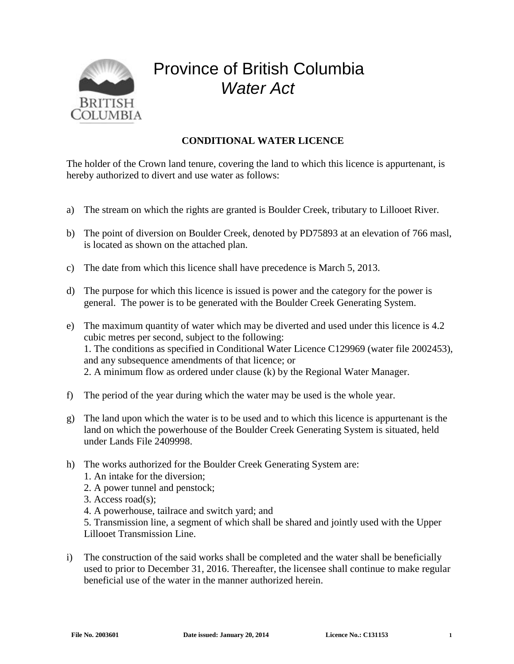

## Province of British Columbia *Water Act*

## **CONDITIONAL WATER LICENCE**

The holder of the Crown land tenure, covering the land to which this licence is appurtenant, is hereby authorized to divert and use water as follows:

- a) The stream on which the rights are granted is Boulder Creek, tributary to Lillooet River.
- b) The point of diversion on Boulder Creek, denoted by PD75893 at an elevation of 766 masl, is located as shown on the attached plan.
- c) The date from which this licence shall have precedence is March 5, 2013.
- d) The purpose for which this licence is issued is power and the category for the power is general. The power is to be generated with the Boulder Creek Generating System.
- e) The maximum quantity of water which may be diverted and used under this licence is 4.2 cubic metres per second, subject to the following: 1. The conditions as specified in Conditional Water Licence C129969 (water file 2002453), and any subsequence amendments of that licence; or 2. A minimum flow as ordered under clause (k) by the Regional Water Manager.
- f) The period of the year during which the water may be used is the whole year.
- g) The land upon which the water is to be used and to which this licence is appurtenant is the land on which the powerhouse of the Boulder Creek Generating System is situated, held under Lands File 2409998.
- h) The works authorized for the Boulder Creek Generating System are:
	- 1. An intake for the diversion;
	- 2. A power tunnel and penstock;
	- 3. Access road(s);
	- 4. A powerhouse, tailrace and switch yard; and
	- 5. Transmission line, a segment of which shall be shared and jointly used with the Upper Lillooet Transmission Line.
- i) The construction of the said works shall be completed and the water shall be beneficially used to prior to December 31, 2016. Thereafter, the licensee shall continue to make regular beneficial use of the water in the manner authorized herein.